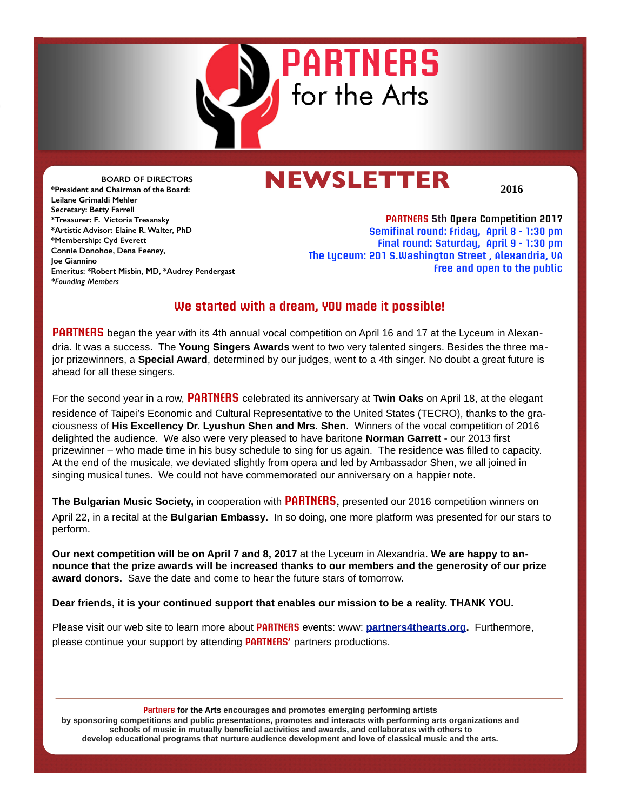

## **NEWSLETTER**

**2016**

**BOARD OF DIRECTORS \*President and Chairman of the Board: Leilane Grimaldi Mehler Secretary: Betty Farrell \*Treasurer: F. Victoria Tresansky \*Artistic Advisor: Elaine R. Walter, PhD \*Membership: Cyd Everett Connie Donohoe, Dena Feeney, Joe Giannino Emeritus: \*Robert Misbin, MD, \*Audrey Pendergast** *\*Founding Members*

**PARTNERS 5th Opera Competition 2017 Semifinal round: Friday, April 8 - 1:30 pm Final round: Saturday, April 9 - 1:30 pm The Lyceum: 201 S.Washington Street , Alexandria, VA Free and open to the public**

#### **We started with a dream, YOU made it possible!**

**PARTNERS** began the year with its 4th annual vocal competition on April 16 and 17 at the Lyceum in Alexandria. It was a success. The **Young Singers Awards** went to two very talented singers. Besides the three major prizewinners, a **Special Award**, determined by our judges, went to a 4th singer. No doubt a great future is ahead for all these singers.

For the second year in a row, **PARTNERS** celebrated its anniversary at **Twin Oaks** on April 18, at the elegant residence of Taipei's Economic and Cultural Representative to the United States (TECRO), thanks to the graciousness of **His Excellency Dr. Lyushun Shen and Mrs. Shen**. Winners of the vocal competition of 2016 delighted the audience. We also were very pleased to have baritone **Norman Garrett** - our 2013 first prizewinner – who made time in his busy schedule to sing for us again. The residence was filled to capacity. At the end of the musicale, we deviated slightly from opera and led by Ambassador Shen, we all joined in singing musical tunes. We could not have commemorated our anniversary on a happier note.

**The Bulgarian Music Society,** in cooperation with **PARTNERS**, presented our 2016 competition winners on April 22, in a recital at the **Bulgarian Embassy**. In so doing, one more platform was presented for our stars to perform.

**Our next competition will be on April 7 and 8, 2017** at the Lyceum in Alexandria. **We are happy to announce that the prize awards will be increased thanks to our members and the generosity of our prize award donors.** Save the date and come to hear the future stars of tomorrow.

**Dear friends, it is your continued support that enables our mission to be a reality. THANK YOU.** 

Please visit our web site to learn more about **PARTNERS** events: www: **[partners4thearts.org.](http://partners4thearts.org)** Furthermore, please continue your support by attending **PARTNERS'** partners productions.

**Partners for the Arts encourages and promotes emerging performing artists** 

**by sponsoring competitions and public presentations, promotes and interacts with performing arts organizations and schools of music in mutually beneficial activities and awards, and collaborates with others to develop educational programs that nurture audience development and love of classical music and the arts.**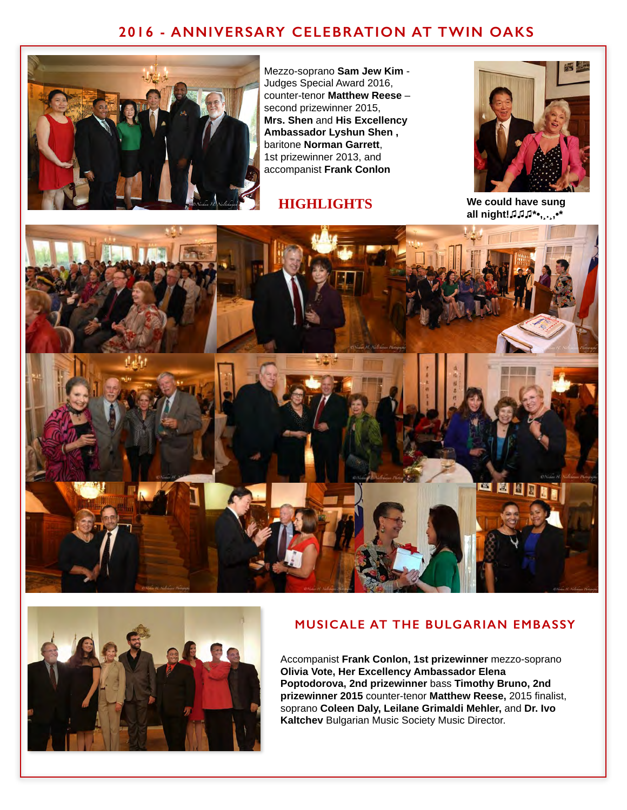### **2016 - ANNIVERSARY CELEBRATION AT TWIN OAKS**



Mezzo-soprano **Sam Jew Kim** - Judges Special Award 2016, counter-tenor **Matthew Reese** – second prizewinner 2015, **Mrs. Shen** and **His Excellency Ambassador Lyshun Shen ,** baritone **Norman Garrett**, 1st prizewinner 2013, and accompanist **Frank Conlon**

#### **HIGHLIGHTS**



**We could have sung all night!♫♫♫\*•,¸.¸,•\***





#### **MUSICALE AT THE BULGARIAN EMBASSY**

Accompanist **Frank Conlon, 1st prizewinner** mezzo-soprano **Olivia Vote, Her Excellency Ambassador Elena Poptodorova, 2nd prizewinner** bass **Timothy Bruno, 2nd prizewinner 2015** counter-tenor **Matthew Reese,** 2015 finalist, soprano **Coleen Daly, Leilane Grimaldi Mehler,** and **Dr. Ivo Kaltchev** Bulgarian Music Society Music Director.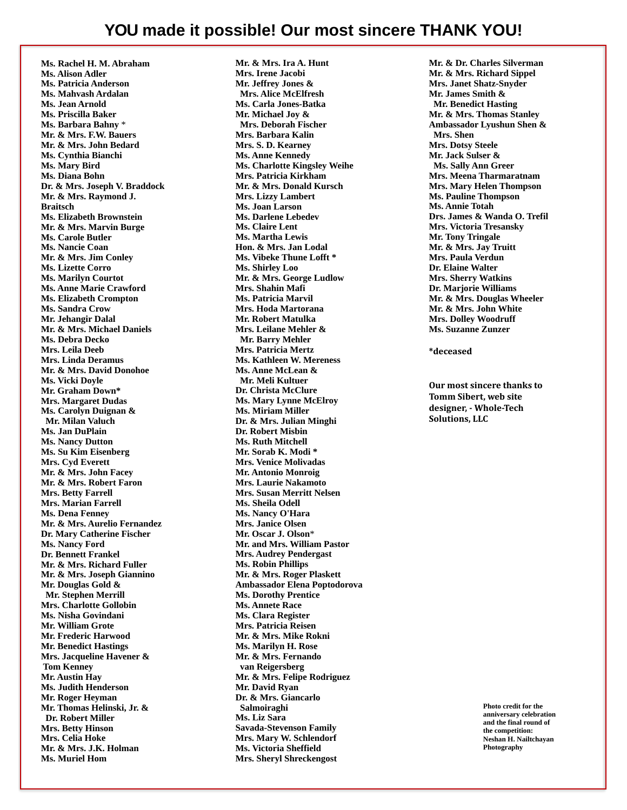**Ms. Rachel H. M. Abraham Ms. Alison Adler Ms. Patricia Anderson Ms. Mahvash Ardalan Ms. Jean Arnold Ms. Priscilla Baker Ms. Barbara Bahny** \* **Mr. & Mrs. F.W. Bauers Mr. & Mrs. John Bedard Ms. Cynthia Bianchi Ms. Mary Bird Ms. Diana Bohn Dr. & Mrs. Joseph V. Braddock Mr. & Mrs. Raymond J. Braitsch Ms. Elizabeth Brownstein Mr. & Mrs. Marvin Burge Ms. Carole Butler Ms. Nancie Coan Mr. & Mrs. Jim Conley Ms. Lizette Corro Ms. Marilyn Courtot Ms. Anne Marie Crawford Ms. Elizabeth Crompton Ms. Sandra Crow Mr. Jehangir Dalal Mr. & Mrs. Michael Daniels Ms. Debra Decko Mrs. Leila Deeb Mrs. Linda Deramus Mr. & Mrs. David Donohoe Ms. Vicki Doyle Mr. Graham Down\* Mrs. Margaret Dudas Ms. Carolyn Duignan & Mr. Milan Valuch Ms. Jan DuPlain Ms. Nancy Dutton Ms. Su Kim Eisenberg Mrs. Cyd Everett Mr. & Mrs. John Facey Mr. & Mrs. Robert Faron Mrs. Betty Farrell Mrs. Marian Farrell Ms. Dena Fenney Mr. & Mrs. Aurelio Fernandez Dr. Mary Catherine Fischer Ms. Nancy Ford Dr. Bennett Frankel Mr. & Mrs. Richard Fuller Mr. & Mrs. Joseph Giannino Mr. Douglas Gold & Mr. Stephen Merrill Mrs. Charlotte Gollobin Ms. Nisha Govindani Mr. William Grote Mr. Frederic Harwood Mr. Benedict Hastings Mrs. Jacqueline Havener & Tom Kenney Mr. Austin Hay Ms. Judith Henderson Mr. Roger Heyman Mr. Thomas Helinski, Jr. & Dr. Robert Miller Mrs. Betty Hinson Mrs. Celia Hoke Mr. & Mrs. J.K. Holman Ms. Muriel Hom** 

**Mr. & Mrs. Ira A. Hunt Mrs. Irene Jacobi Mr. Jeffrey Jones & Mrs. Alice McElfresh Ms. Carla Jones-Batka Mr. Michael Joy & Mrs. Deborah Fischer Mrs. Barbara Kalin Mrs. S. D. Kearney Ms. Anne Kennedy Ms. Charlotte Kingsley Weihe Mrs. Patricia Kirkham Mr. & Mrs. Donald Kursch Mrs. Lizzy Lambert Ms. Joan Larson Ms. Darlene Lebedev Ms. Claire Lent Ms. Martha Lewis Hon. & Mrs. Jan Lodal Ms. Vibeke Thune Lofft \* Ms. Shirley Loo Mr. & Mrs. George Ludlow Mrs. Shahin Mafi Ms. Patricia Marvil Mrs. Hoda Martorana Mr. Robert Matulka Mrs. Leilane Mehler & Mr. Barry Mehler Mrs. Patricia Mertz Ms. Kathleen W. Mereness Ms. Anne McLean & Mr. Meli Kultuer Dr. Christa McClure Ms. Mary Lynne McElroy Ms. Miriam Miller Dr. & Mrs. Julian Minghi Dr. Robert Misbin Ms. Ruth Mitchell Mr. Sorab K. Modi \* Mrs. Venice Molivadas Mr. Antonio Monroig Mrs. Laurie Nakamoto Mrs. Susan Merritt Nelsen Ms. Sheila Odell Ms. Nancy O'Hara Mrs. Janice Olsen Mr. Oscar J. Olson**\* **Mr. and Mrs. William Pastor Mrs. Audrey Pendergast Ms. Robin Phillips Mr. & Mrs. Roger Plaskett Ambassador Elena Poptodorova Ms. Dorothy Prentice Ms. Annete Race Ms. Clara Register Mrs. Patricia Reisen Mr. & Mrs. Mike Rokni Ms. Marilyn H. Rose Mr. & Mrs. Fernando van Reigersberg Mr. & Mrs. Felipe Rodriguez Mr. David Ryan Dr. & Mrs. Giancarlo Salmoiraghi Ms. Liz Sara Savada-Stevenson Family Mrs. Mary W. Schlendorf Ms. Victoria Sheffield Mrs. Sheryl Shreckengost** 

**Mr. & Dr. Charles Silverman Mr. & Mrs. Richard Sippel Mrs. Janet Shatz-Snyder Mr. James Smith & Mr. Benedict Hasting Mr. & Mrs. Thomas Stanley Ambassador Lyushun Shen & Mrs. Shen Mrs. Dotsy Steele Mr. Jack Sulser & Ms. Sally Ann Greer Mrs. Meena Tharmaratnam Mrs. Mary Helen Thompson Ms. Pauline Thompson Ms. Annie Totah Drs. James & Wanda O. Trefil Mrs. Victoria Tresansky Mr. Tony Tringale Mr. & Mrs. Jay Truitt Mrs. Paula Verdun Dr. Elaine Walter Mrs. Sherry Watkins Dr. Marjorie Williams Mr. & Mrs. Douglas Wheeler Mr. & Mrs. John White Mrs. Dolley Woodruff Ms. Suzanne Zunzer** 

**\*deceased** 

**Our most sincere thanks to Tomm Sibert, web site** designer. - Whole-Tech **Solutions, LLC** 

> **Photo credit for the anniversary celebration and the final round of the competition: Neshan H. Nailtchayan Photography**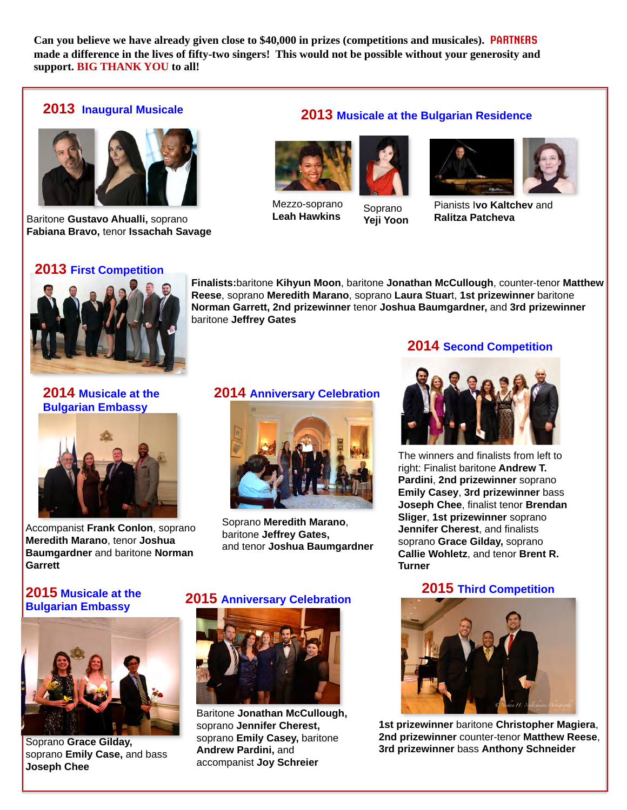**Can you believe we have already given close to \$40,000 in prizes (competitions and musicales). PARTNERS made a difference in the lives of fifty-two singers! This would not be possible without your generosity and support. BIG THANK YOU to all!**

#### **2013 Inaugural Musicale**



Baritone **Gustavo Ahualli,** soprano **Fabiana Bravo,** tenor **Issachah Savage**

#### **2013 Musicale at the Bulgarian Residence**



Mezzo-soprano Mezzo-soprano<br>**Leah Hawkins** You You



**Yeji Yoon**



Pianists I**vo Kaltchev** and **Ralitza Patcheva**

#### **2013 First Competition**



**Finalists:**baritone **Kihyun Moon**, baritone **Jonathan McCullough**, counter-tenor **Matthew Reese**, soprano **Meredith Marano**, soprano **Laura Stuar**t, **1st prizewinner** baritone **Norman Garrett, 2nd prizewinner** tenor **Joshua Baumgardner,** and **3rd prizewinner**  baritone **Jeffrey Gates**

# **Bulgarian Embassy**



Accompanist **Frank Conlon**, soprano **Meredith Marano**, tenor **Joshua Baumgardner** and baritone **Norman Garrett**

#### **2014 Musicale at the 2014 Anniversary Celebration**



Soprano **Meredith Marano**, baritone **Jeffrey Gates,** and tenor **Joshua Baumgardner**

#### **2015 Musicale at the Bulgarian Embassy <sup>2015</sup> Anniversary Celebration**



Soprano **Grace Gilday,** soprano **Emily Case,** and bass **Joseph Chee**



Baritone **Jonathan McCullough,**  soprano **Jennifer Cherest,**  soprano **Emily Casey,** baritone **Andrew Pardini,** and accompanist **Joy Schreier**

#### **2014 Second Competition**



The winners and finalists from left to right: Finalist baritone **Andrew T. Pardini**, **2nd prizewinner** soprano **Emily Casey**, **3rd prizewinner** bass **Joseph Chee**, finalist tenor **Brendan Sliger**, **1st prizewinner** soprano **Jennifer Cherest**, and finalists soprano **Grace Gilday,** soprano **Callie Wohletz**, and tenor **Brent R. Turner**

#### **2015 Third Competition**



**1st prizewinner** baritone **Christopher Magiera**, **2nd prizewinner** counter-tenor **Matthew Reese**, **3rd prizewinner** bass **Anthony Schneider**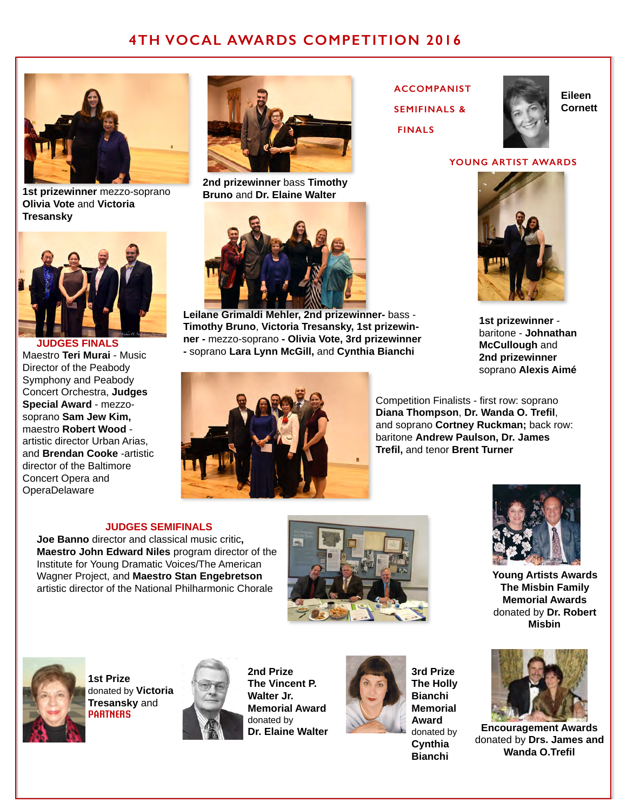### **4TH VOCAL AWARDS COMPETITION 2016**



**1st prizewinner** mezzo-soprano **Olivia Vote** and **Victoria Tresansky**



 **JUDGES FINALS** Maestro **Teri Murai** - Music Director of the Peabody Symphony and Peabody Concert Orchestra, **Judges Special Award** - mezzosoprano **Sam Jew Kim,** maestro **Robert Wood** artistic director Urban Arias, and **Brendan Cooke** -artistic director of the Baltimore Concert Opera and **OperaDelaware** 



**2nd prizewinner** bass **Timothy Bruno** and **Dr. Elaine Walter**



**Leilane Grimaldi Mehler, 2nd prizewinner-** bass - **Timothy Bruno**, **Victoria Tresansky, 1st prizewinner -** mezzo-soprano **- Olivia Vote, 3rd prizewinner -** soprano **Lara Lynn McGill,** and **Cynthia Bianchi**





**Eileen Cornett**

#### **YOUNG ARTIST AWARDS**



**1st prizewinner** baritone - **Johnathan McCullough** and **2nd prizewinner** soprano **Alexis Aimé**



**JUDGES SEMIFINALS**

**Joe Banno** director and classical music critic**, Maestro John Edward Niles** program director of the Institute for Young Dramatic Voices/The American Wagner Project, and **Maestro Stan Engebretson**  artistic director of the National Philharmonic Chorale





**1st Prize** donated by **Victoria Tresansky** and **PARTNERS**



**2nd Prize The Vincent P. Walter Jr. Memorial Award**  donated by **Dr. Elaine Walter**



**3rd Prize The Holly Bianchi Memorial Award** donated by **Cynthia Bianchi**



**Young Artists Awards The Misbin Family Memorial Awards** donated by **Dr. Robert Misbin**



**Encouragement Awards**  donated by **Drs. James and Wanda O.Trefil**